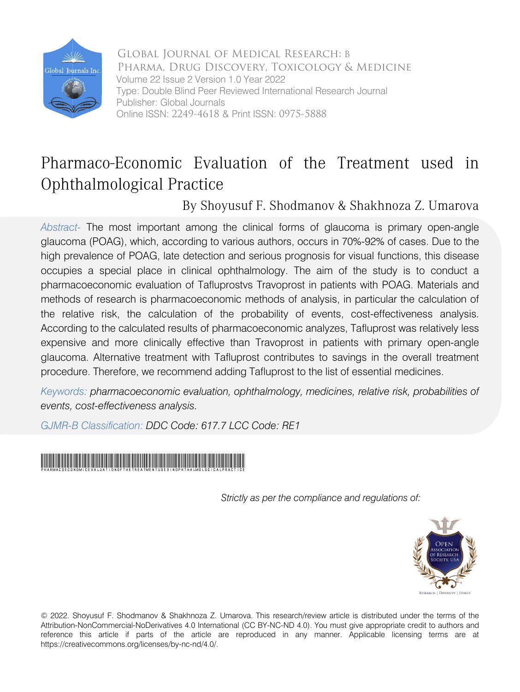

Global Journal of Medical Research: B Pharma, Drug Discovery, Toxicology & Medicine Volume 22 Issue 2 Version 1.0 Year 2022 Type: Double Blind Peer Reviewed International Research Journal Publisher: Global Journals Online ISSN: 2249-4618 & Print ISSN: 0975-5888

# Pharmaco-Economic Evaluation of the Treatment used in Ophthalmological Practice

By Shoyusuf F. Shodmanov & Shakhnoza Z. Umarova

*Abstract-* The most important among the clinical forms of glaucoma is primary open-angle glaucoma (POAG), which, according to various authors, occurs in 70%-92% of cases. Due to the high prevalence of POAG, late detection and serious prognosis for visual functions, this disease occupies a special place in clinical ophthalmology. The aim of the study is to conduct a pharmacoeconomic evaluation of Tafluprostvs Travoprost in patients with POAG. Materials and methods of research is pharmacoeconomic methods of analysis, in particular the calculation of the relative risk, the calculation of the probability of events, cost-effectiveness analysis. According to the calculated results of pharmacoeconomic analyzes, Tafluprost was relatively less expensive and more clinically effective than Travoprost in patients with primary open-angle glaucoma. Alternative treatment with Tafluprost contributes to savings in the overall treatment procedure. Therefore, we recommend adding Tafluprost to the list of essential medicines.

*Keywords: pharmacoeconomic evaluation, ophthalmology, medicines, relative risk, probabilities of events, cost-effectiveness analysis.*

*GJMR-B Classification: DDC Code: 617.7 LCC Code: RE1*



*Strictly as per the compliance and regulations of:*



© 2022. Shoyusuf F. Shodmanov & Shakhnoza Z. Umarova. This research/review article is distributed under the terms of the Attribution-NonCommercial-NoDerivatives 4.0 International (CC BY-NC-ND 4.0). You must give appropriate credit to authors and reference this article if parts of the article are reproduced in any manner. Applicable licensing terms are at https://creativecommons.org/licenses/by-nc-nd/4.0/.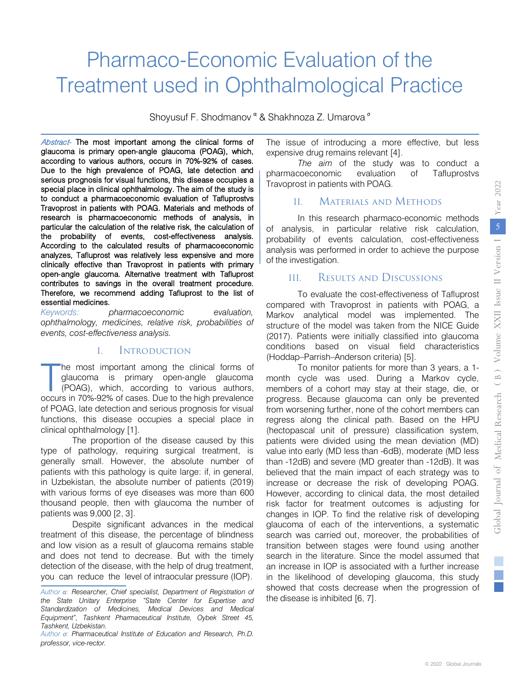# Pharmaco-Economic Evaluation of the Treatment used in Ophthalmological Practice

Shoyusuf F. Shodmanov <sup>α</sup> & Shakhnoza Z. Umarova<sup>σ</sup>

Abstract- The most important among the clinical forms of glaucoma is primary open-angle glaucoma (POAG), which, according to various authors, occurs in 70%-92% of cases. Due to the high prevalence of POAG, late detection and serious prognosis for visual functions, this disease occupies a special place in clinical ophthalmology. The aim of the study is to conduct a pharmacoeconomic evaluation of Tafluprostvs Travoprost in patients with POAG. Materials and methods of research is pharmacoeconomic methods of analysis, in particular the calculation of the relative risk, the calculation of the probability of events, cost-effectiveness analysis. According to the calculated results of pharmacoeconomic analyzes, Tafluprost was relatively less expensive and more clinically effective than Travoprost in patients with primary open-angle glaucoma. Alternative treatment with Tafluprost contributes to savings in the overall treatment procedure. Therefore, we recommend adding Tafluprost to the list of essential medicines.

Keywords: *Keywords: pharmacoeconomic evaluation, ophthalmology, medicines, relative risk, probabilities of events, cost-effectiveness analysis.*

### I. Introduction

he most important among the clinical forms of glaucoma is primary open-angle glaucoma (POAG), which, according to various authors, The most important among the clinical forms of glaucoma is primary open-angle glaucoma (POAG), which, according to various authors, occurs in 70%-92% of cases. Due to the high prevalence of POAG, late detection and serious prognosis for visual functions, this disease occupies a special place in clinical ophthalmology [1].

The proportion of the disease caused by this type of pathology, requiring surgical treatment, is generally small. However, the absolute number of patients with this pathology is quite large: if, in general, in Uzbekistan, the absolute number of patients (2019) with various forms of eye diseases was more than 600 thousand people, then with glaucoma the number of patients was 9,000 [2, 3].

Despite significant advances in the medical treatment of this disease, the percentage of blindness and low vision as a result of glaucoma remains stable and does not tend to decrease. But with the timely detection of the disease, with the help of drug treatment, you can reduce the level of intraocular pressure (IOP).

The issue of introducing a more effective, but less expensive drug remains relevant [4].

*The aim* of the study was to conduct a pharmacoeconomic evaluation of Tafluprostvs Travoprost in patients with POAG.

# II. Materials and Methods

In this research pharmaco-economic methods of analysis, in particular relative risk calculation, probability of events calculation, cost-effectiveness analysis was performed in order to achieve the purpose of the investigation.

## III. Results and Discussions

To evaluate the cost-effectiveness of Tafluprost compared with Travoprost in patients with POAG, a Markov analytical model was implemented. The structure of the model was taken from the NICE Guide (2017). Patients were initially classified into glaucoma conditions based on visual field characteristics (Hoddap–Parrish–Anderson criteria) [5].

To monitor patients for more than 3 years, a 1 month cycle was used. During a Markov cycle, members of a cohort may stay at their stage, die, or progress. Because glaucoma can only be prevented from worsening further, none of the cohort members can regress along the clinical path. Based on the HPU (hectopascal unit of pressure) classification system, patients were divided using the mean deviation (MD) value into early (MD less than -6dB), moderate (MD less than -12dB) and severe (MD greater than -12dB). It was believed that the main impact of each strategy was to increase or decrease the risk of developing POAG. However, according to clinical data, the most detailed risk factor for treatment outcomes is adjusting for changes in IOP. To find the relative risk of developing glaucoma of each of the interventions, a systematic search was carried out, moreover, the probabilities of transition between stages were found using another search in the literature. Since the model assumed that an increase in IOP is associated with a further increase in the likelihood of developing glaucoma, this study showed that costs decrease when the progression of the disease is inhibited [6, 7].

*Author α: Researcher, Chief specialist, Department of Registration of the State Unitary Enterprise "State Center for Expertise and Standardization of Medicines, Medical Devices and Medical Equipment", Tashkent Pharmaceutical Institute, Oybek Street 45, Tashkent, Uzbekistan.*

*Author σ: Pharmaceutical Institute of Education and Research, Ph.D. professor, vice-rector.*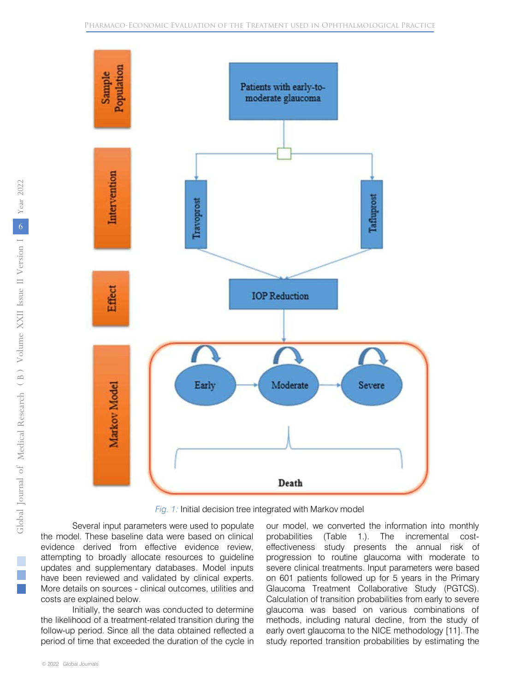

*Fig. 1:* Initial decision tree integrated with Markov model

Several input parameters were used to populate the model. These baseline data were based on clinical evidence derived from effective evidence review, attempting to broadly allocate resources to guideline updates and supplementary databases. Model inputs have been reviewed and validated by clinical experts. More details on sources - clinical outcomes, utilities and costs are explained below.

Initially, the search was conducted to determine the likelihood of a treatment-related transition during the follow-up period. Since all the data obtained reflected a period of time that exceeded the duration of the cycle in

our model, we converted the information into monthly probabilities (Table 1.). The incremental costeffectiveness study presents the annual risk of progression to routine glaucoma with moderate to severe clinical treatments. Input parameters were based on 601 patients followed up for 5 years in the Primary Glaucoma Treatment Collaborative Study (PGTCS). Calculation of transition probabilities from early to severe glaucoma was based on various combinations of methods, including natural decline, from the study of early overt glaucoma to the NICE methodology [11]. The study reported transition probabilities by estimating the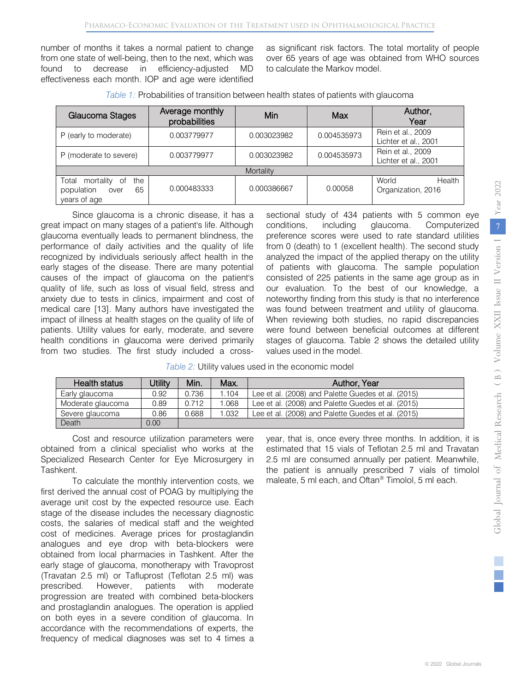number of months it takes a normal patient to change from one state of well-being, then to the next, which was found to decrease in efficiency-adjusted MD effectiveness each month. IOP and age were identified

as significant risk factors. The total mortality of people over 65 years of age was obtained from WHO sources to calculate the Markov model.

| Glaucoma Stages                                                             | Average monthly<br>probabilities | Min         | Max         | Author,<br>Year                           |
|-----------------------------------------------------------------------------|----------------------------------|-------------|-------------|-------------------------------------------|
| P (early to moderate)                                                       | 0.003779977                      | 0.003023982 | 0.004535973 | Rein et al., 2009<br>Lichter et al., 2001 |
| P (moderate to severe)                                                      | 0.003779977                      | 0.003023982 | 0.004535973 | Rein et al., 2009<br>Lichter et al., 2001 |
| Mortality                                                                   |                                  |             |             |                                           |
| Total<br>the<br>mortality<br>of<br>population<br>65<br>over<br>years of age | 0.000483333                      | 0.000386667 | 0.00058     | World<br>Health<br>Organization, 2016     |

*Table 1:* Probabilities of transition between health states of patients with glaucoma

Since glaucoma is a chronic disease, it has a great impact on many stages of a patient's life. Although glaucoma eventually leads to permanent blindness, the performance of daily activities and the quality of life recognized by individuals seriously affect health in the early stages of the disease. There are many potential causes of the impact of glaucoma on the patient's quality of life, such as loss of visual field, stress and anxiety due to tests in clinics, impairment and cost of medical care [13]. Many authors have investigated the impact of illness at health stages on the quality of life of patients. Utility values for early, moderate, and severe health conditions in glaucoma were derived primarily from two studies. The first study included a crosssectional study of 434 patients with 5 common eye conditions, including glaucoma. Computerized preference scores were used to rate standard utilities from 0 (death) to 1 (excellent health). The second study analyzed the impact of the applied therapy on the utility of patients with glaucoma. The sample population consisted of 225 patients in the same age group as in our evaluation. To the best of our knowledge, a noteworthy finding from this study is that no interference was found between treatment and utility of glaucoma. When reviewing both studies, no rapid discrepancies were found between beneficial outcomes at different stages of glaucoma. Table 2 shows the detailed utility values used in the model.

|  |  | Table 2: Utility values used in the economic model |  |
|--|--|----------------------------------------------------|--|
|  |  |                                                    |  |

| <b>Health status</b> | <b>Utility</b> | Min.  | Max.  | Author, Year                                       |
|----------------------|----------------|-------|-------|----------------------------------------------------|
| Early glaucoma       | 0.92           | 0.736 | 1.104 | Lee et al. (2008) and Palette Guedes et al. (2015) |
| Moderate glaucoma    | 0.89           | 0.712 | .068  | Lee et al. (2008) and Palette Guedes et al. (2015) |
| Severe glaucoma      | 0.86           | 0.688 | 1.032 | Lee et al. (2008) and Palette Guedes et al. (2015) |
| Death                | 0.00           |       |       |                                                    |

Cost and resource utilization parameters were obtained from a clinical specialist who works at the Specialized Research Center for Eye Microsurgery in Tashkent.

To calculate the monthly intervention costs, we first derived the annual cost of POAG by multiplying the average unit cost by the expected resource use. Each stage of the disease includes the necessary diagnostic costs, the salaries of medical staff and the weighted cost of medicines. Average prices for prostaglandin analogues and eye drop with beta-blockers were obtained from local pharmacies in Tashkent. After the early stage of glaucoma, monotherapy with Travoprost (Travatan 2.5 ml) or Tafluprost (Teflotan 2.5 ml) was prescribed. However, patients with moderate progression are treated with combined beta-blockers and prostaglandin analogues. The operation is applied on both eyes in a severe condition of glaucoma. In accordance with the recommendations of experts, the frequency of medical diagnoses was set to 4 times a

year, that is, once every three months. In addition, it is estimated that 15 vials of Teflotan 2.5 ml and Travatan 2.5 ml are consumed annually per patient. Meanwhile, the patient is annually prescribed 7 vials of timolol maleate, 5 ml each, and Oftan® Timolol, 5 ml each.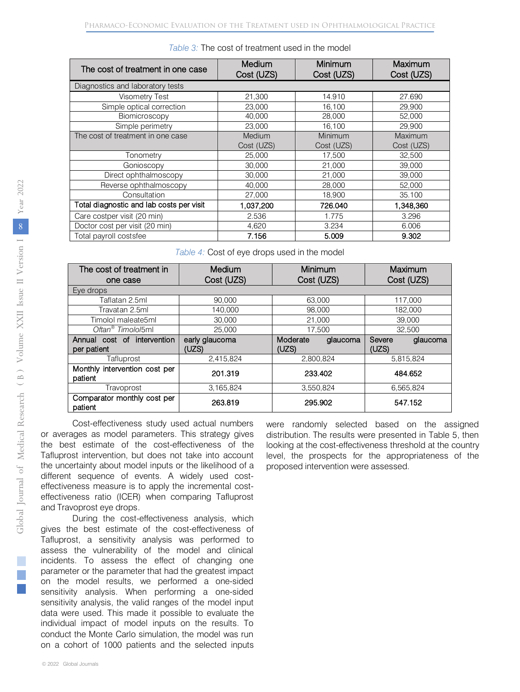| The cost of treatment in one case        | Medium<br>Cost (UZS) | Minimum<br>Cost (UZS) | Maximum<br>Cost (UZS) |
|------------------------------------------|----------------------|-----------------------|-----------------------|
| Diagnostics and laboratory tests         |                      |                       |                       |
| Visometry Test                           | 21,300               | 14.910                | 27.690                |
| Simple optical correction                | 23,000               | 16,100                | 29,900                |
| Biomicroscopy                            | 40.000               | 28,000                | 52,000                |
| Simple perimetry                         | 23,000               | 16,100                | 29.900                |
| The cost of treatment in one case        | Medium<br>Cost (UZS) | Minimum<br>Cost (UZS) | Maximum<br>Cost (UZS) |
| Tonometry                                | 25,000               | 17,500                | 32,500                |
| Gonioscopy                               | 30,000               | 21,000                | 39,000                |
| Direct ophthalmoscopy                    | 30,000               | 21,000                | 39,000                |
| Reverse ophthalmoscopy                   | 40.000               | 28,000                | 52,000                |
| Consultation                             | 27,000               | 18,900                | 35.100                |
| Total diagnostic and lab costs per visit | 1,037,200            | 726.040               | 1,348,360             |
| Care costper visit (20 min)              | 2.536                | 1.775                 | 3.296                 |
| Doctor cost per visit (20 min)           | 4,620                | 3.234                 | 6.006                 |
| Total payroll costsfee                   | 7.156                | 5.009                 | 9.302                 |

*Table 3:* The cost of treatment used in the model

*Table 4:* Cost of eye drops used in the model

| The cost of treatment in                 | Medium         | Minimum              | Maximum            |  |
|------------------------------------------|----------------|----------------------|--------------------|--|
| one case                                 | Cost (UZS)     | Cost (UZS)           | Cost (UZS)         |  |
| Eye drops                                |                |                      |                    |  |
| Taflatan 2.5ml                           | 90,000         | 63,000               | 117,000            |  |
| Travatan 2.5ml                           | 140,000        | 98,000               | 182,000            |  |
| Timolol maleate5ml                       | 30,000         | 21.000               | 39,000             |  |
| Oftan <sup>®</sup> Timolol5ml            | 25,000         | 17.500               | 32.500             |  |
| Annual cost of intervention              | early glaucoma | Moderate<br>glaucoma | Severe<br>glaucoma |  |
| per patient                              | (UZS)          | (UZS)                | (UZS)              |  |
| Tafluprost                               | 2,415,824      | 2,800,824            | 5,815,824          |  |
| Monthly intervention cost per<br>patient | 201.319        | 233.402              | 484.652            |  |
| Travoprost                               | 3,165,824      | 3,550,824            | 6.565.824          |  |
| Comparator monthly cost per<br>patient   | 263.819        | 295.902              | 547.152            |  |

Cost-effectiveness study used actual numbers or averages as model parameters. This strategy gives the best estimate of the cost-effectiveness of the Tafluprost intervention, but does not take into account the uncertainty about model inputs or the likelihood of a different sequence of events. A widely used costeffectiveness measure is to apply the incremental costeffectiveness ratio (ICER) when comparing Tafluprost and Travoprost eye drops.

During the cost-effectiveness analysis, which gives the best estimate of the cost-effectiveness of Tafluprost, a sensitivity analysis was performed to assess the vulnerability of the model and clinical incidents. To assess the effect of changing one parameter or the parameter that had the greatest impact on the model results, we performed a one-sided sensitivity analysis. When performing a one-sided sensitivity analysis, the valid ranges of the model input data were used. This made it possible to evaluate the individual impact of model inputs on the results. To conduct the Monte Carlo simulation, the model was run on a cohort of 1000 patients and the selected inputs were randomly selected based on the assigned distribution. The results were presented in Table 5, then looking at the cost-effectiveness threshold at the country level, the prospects for the appropriateness of the proposed intervention were assessed.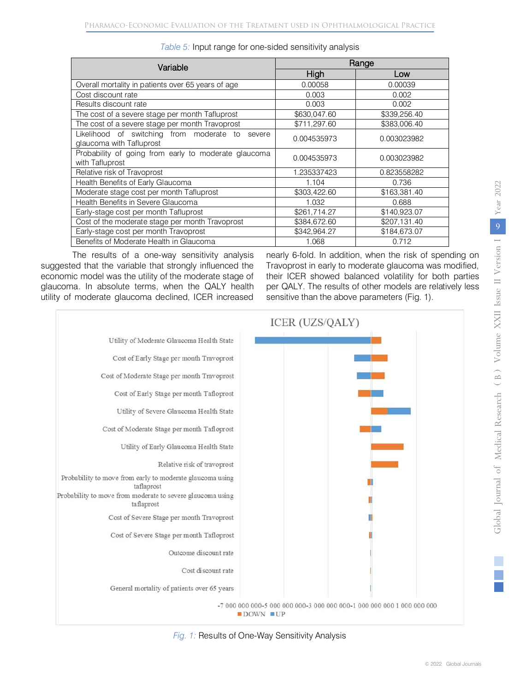| Variable                                                                       | Range        |              |  |
|--------------------------------------------------------------------------------|--------------|--------------|--|
|                                                                                | High         | Low          |  |
| Overall mortality in patients over 65 years of age                             | 0.00058      | 0.00039      |  |
| Cost discount rate                                                             | 0.003        | 0.002        |  |
| Results discount rate                                                          | 0.003        | 0.002        |  |
| The cost of a severe stage per month Tafluprost                                | \$630,047.60 | \$339,256.40 |  |
| The cost of a severe stage per month Travoprost                                | \$711,297.60 | \$383,006.40 |  |
| Likelihood of switching from moderate to<br>severe<br>glaucoma with Tafluprost | 0.004535973  | 0.003023982  |  |
| Probability of going from early to moderate glaucoma<br>with Tafluprost        | 0.004535973  | 0.003023982  |  |
| Relative risk of Travoprost                                                    | 1.235337423  | 0.823558282  |  |
| Health Benefits of Early Glaucoma                                              | 1.104        | 0.736        |  |
| Moderate stage cost per month Tafluprost                                       | \$303,422.60 | \$163,381.40 |  |
| Health Benefits in Severe Glaucoma                                             | 1.032        | 0.688        |  |
| Early-stage cost per month Tafluprost                                          | \$261,714.27 | \$140,923.07 |  |
| Cost of the moderate stage per month Travoprost                                | \$384,672.60 | \$207,131.40 |  |
| Early-stage cost per month Travoprost                                          | \$342,964,27 | \$184,673.07 |  |
| Benefits of Moderate Health in Glaucoma                                        | 1.068        | 0.712        |  |

*Table 5:* Input range for one-sided sensitivity analysis

The results of a one-way sensitivity analysis suggested that the variable that strongly influenced the economic model was the utility of the moderate stage of glaucoma. In absolute terms, when the QALY health utility of moderate glaucoma declined, ICER increased

nearly 6-fold. In addition, when the risk of spending on Travoprost in early to moderate glaucoma was modified, their ICER showed balanced volatility for both parties per QALY. The results of other models are relatively less sensitive than the above parameters (Fig. 1).



*Fig. 1:* Results of One-Way Sensitivity Analysis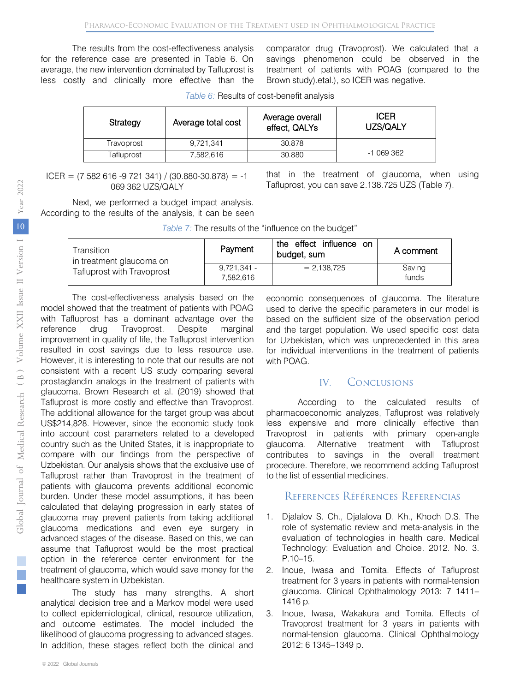The results from the cost-effectiveness analysis for the reference case are presented in Table 6. On average, the new intervention dominated by Tafluprost is less costly and clinically more effective than the comparator drug (Travoprost). We calculated that a savings phenomenon could be observed in the treatment of patients with POAG (compared to the Brown study).etal.), so ICER was negative.

| Table 6: Results of cost-benefit analysis |  |
|-------------------------------------------|--|
|-------------------------------------------|--|

| Strategy   | Average total cost | Average overall<br>effect, QALYs | <b>ICER</b><br>UZS/QALY |
|------------|--------------------|----------------------------------|-------------------------|
| Travoprost | 9.721.341          | 30.878                           |                         |
| Tafluprost | 7.582.616          | 30.880                           | -1 069 362              |

 $ICER = (7 582 616 - 9 721 341) / (30.880 - 30.878) = -1$ 069 362 UZS/QALY

that in the treatment of glaucoma, when using Tafluprost, you can save 2.138.725 UZS (Table 7).

Next, we performed a budget impact analysis. According to the results of the analysis, it can be seen

*Table 7:* The results of the "influence on the budget"

| Transition<br>in treatment glaucoma on | Payment                    | the effect influence on<br>budget, sum | A comment       |
|----------------------------------------|----------------------------|----------------------------------------|-----------------|
| Tafluprost with Travoprost             | $9.721.341 -$<br>7.582.616 | $= 2.138.725$                          | Saving<br>funds |

The cost-effectiveness analysis based on the model showed that the treatment of patients with POAG with Tafluprost has a dominant advantage over the reference drug Travoprost. Despite marginal improvement in quality of life, the Tafluprost intervention resulted in cost savings due to less resource use. However, it is interesting to note that our results are not consistent with a recent US study comparing several prostaglandin analogs in the treatment of patients with glaucoma. Brown Research et al. (2019) showed that Tafluprost is more costly and effective than Travoprost. The additional allowance for the target group was about US\$214,828. However, since the economic study took into account cost parameters related to a developed country such as the United States, it is inappropriate to compare with our findings from the perspective of Uzbekistan. Our analysis shows that the exclusive use of Tafluprost rather than Travoprost in the treatment of patients with glaucoma prevents additional economic burden. Under these model assumptions, it has been calculated that delaying progression in early states of glaucoma may prevent patients from taking additional glaucoma medications and even eye surgery in advanced stages of the disease. Based on this, we can assume that Tafluprost would be the most practical option in the reference center environment for the treatment of glaucoma, which would save money for the healthcare system in Uzbekistan.

The study has many strengths. A short analytical decision tree and a Markov model were used to collect epidemiological, clinical, resource utilization, and outcome estimates. The model included the likelihood of glaucoma progressing to advanced stages. In addition, these stages reflect both the clinical and

economic consequences of glaucoma. The literature used to derive the specific parameters in our model is based on the sufficient size of the observation period and the target population. We used specific cost data for Uzbekistan, which was unprecedented in this area for individual interventions in the treatment of patients with POAG.

### IV. Conclusions

According to the calculated results of pharmacoeconomic analyzes, Tafluprost was relatively less expensive and more clinically effective than Travoprost in patients with primary open-angle glaucoma. Alternative treatment with Tafluprost contributes to savings in the overall treatment procedure. Therefore, we recommend adding Tafluprost to the list of essential medicines.

#### References Références Referencias

- 1. Djalalov S. Ch., Djalalova D. Kh., Khoch D.S. The role of systematic review and meta-analysis in the evaluation of technologies in health care. Medical Technology: Evaluation and Choice. 2012. No. 3. P.10–15.
- 2. Inoue, Iwasa and Tomita. Effects of Tafluprost treatment for 3 years in patients with normal-tension glaucoma. Clinical Ophthalmology 2013: 7 1411– 1416 p.
- 3. Inoue, Iwasa, Wakakura and Tomita. Effects of Travoprost treatment for 3 years in patients with normal-tension glaucoma. Clinical Ophthalmology 2012: 6 1345–1349 p.